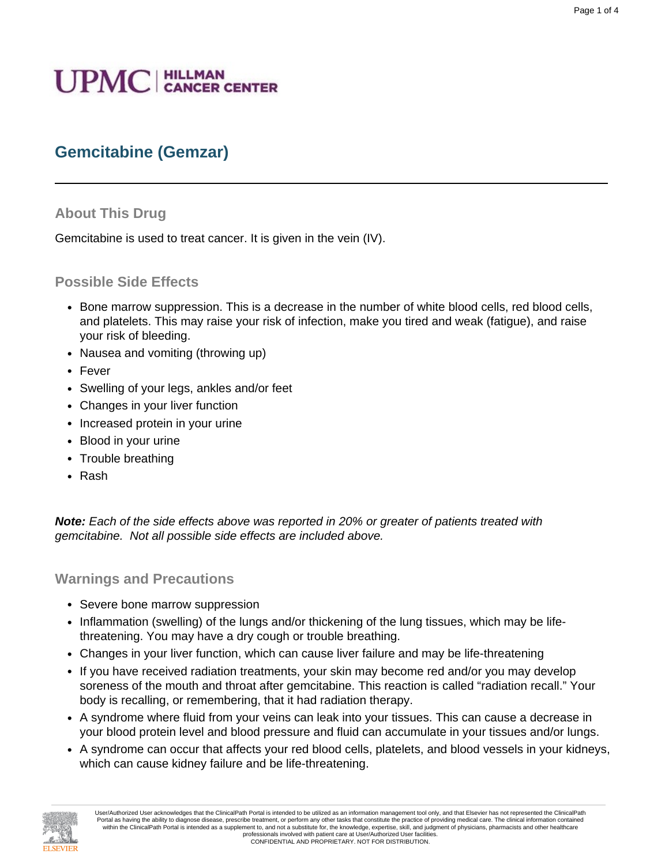# **UPMC** | HILLMAN

# **Gemcitabine (Gemzar)**

## **About This Drug**

Gemcitabine is used to treat cancer. It is given in the vein (IV).

### **Possible Side Effects**

- Bone marrow suppression. This is a decrease in the number of white blood cells, red blood cells, and platelets. This may raise your risk of infection, make you tired and weak (fatigue), and raise your risk of bleeding.
- Nausea and vomiting (throwing up)
- Fever
- Swelling of your legs, ankles and/or feet
- Changes in your liver function
- Increased protein in your urine
- Blood in your urine
- Trouble breathing
- Rash

**Note:** Each of the side effects above was reported in 20% or greater of patients treated with gemcitabine. Not all possible side effects are included above.

#### **Warnings and Precautions**

- Severe bone marrow suppression
- Inflammation (swelling) of the lungs and/or thickening of the lung tissues, which may be lifethreatening. You may have a dry cough or trouble breathing.
- Changes in your liver function, which can cause liver failure and may be life-threatening
- If you have received radiation treatments, your skin may become red and/or you may develop soreness of the mouth and throat after gemcitabine. This reaction is called "radiation recall." Your body is recalling, or remembering, that it had radiation therapy.
- A syndrome where fluid from your veins can leak into your tissues. This can cause a decrease in your blood protein level and blood pressure and fluid can accumulate in your tissues and/or lungs.
- A syndrome can occur that affects your red blood cells, platelets, and blood vessels in your kidneys, which can cause kidney failure and be life-threatening.

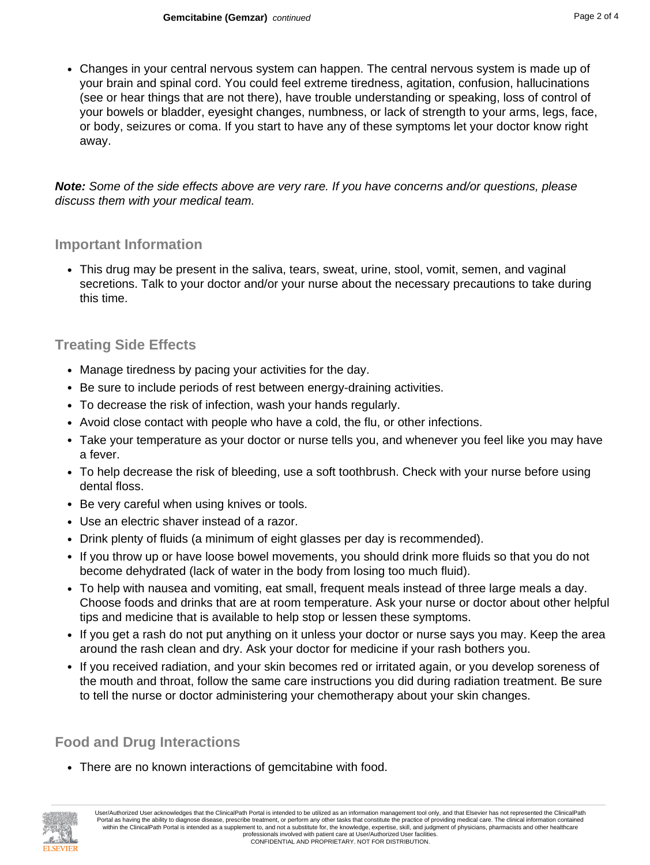• Changes in your central nervous system can happen. The central nervous system is made up of your brain and spinal cord. You could feel extreme tiredness, agitation, confusion, hallucinations (see or hear things that are not there), have trouble understanding or speaking, loss of control of your bowels or bladder, eyesight changes, numbness, or lack of strength to your arms, legs, face, or body, seizures or coma. If you start to have any of these symptoms let your doctor know right away.

**Note:** Some of the side effects above are very rare. If you have concerns and/or questions, please discuss them with your medical team.

## **Important Information**

• This drug may be present in the saliva, tears, sweat, urine, stool, vomit, semen, and vaginal secretions. Talk to your doctor and/or your nurse about the necessary precautions to take during this time.

# **Treating Side Effects**

- Manage tiredness by pacing your activities for the day.
- Be sure to include periods of rest between energy-draining activities.
- To decrease the risk of infection, wash your hands regularly.
- Avoid close contact with people who have a cold, the flu, or other infections.
- Take your temperature as your doctor or nurse tells you, and whenever you feel like you may have a fever.
- To help decrease the risk of bleeding, use a soft toothbrush. Check with your nurse before using dental floss.
- Be very careful when using knives or tools.
- Use an electric shaver instead of a razor.
- Drink plenty of fluids (a minimum of eight glasses per day is recommended).
- If you throw up or have loose bowel movements, you should drink more fluids so that you do not become dehydrated (lack of water in the body from losing too much fluid).
- To help with nausea and vomiting, eat small, frequent meals instead of three large meals a day. Choose foods and drinks that are at room temperature. Ask your nurse or doctor about other helpful tips and medicine that is available to help stop or lessen these symptoms.
- If you get a rash do not put anything on it unless your doctor or nurse says you may. Keep the area around the rash clean and dry. Ask your doctor for medicine if your rash bothers you.
- If you received radiation, and your skin becomes red or irritated again, or you develop soreness of the mouth and throat, follow the same care instructions you did during radiation treatment. Be sure to tell the nurse or doctor administering your chemotherapy about your skin changes.

# **Food and Drug Interactions**

• There are no known interactions of gemcitabine with food.

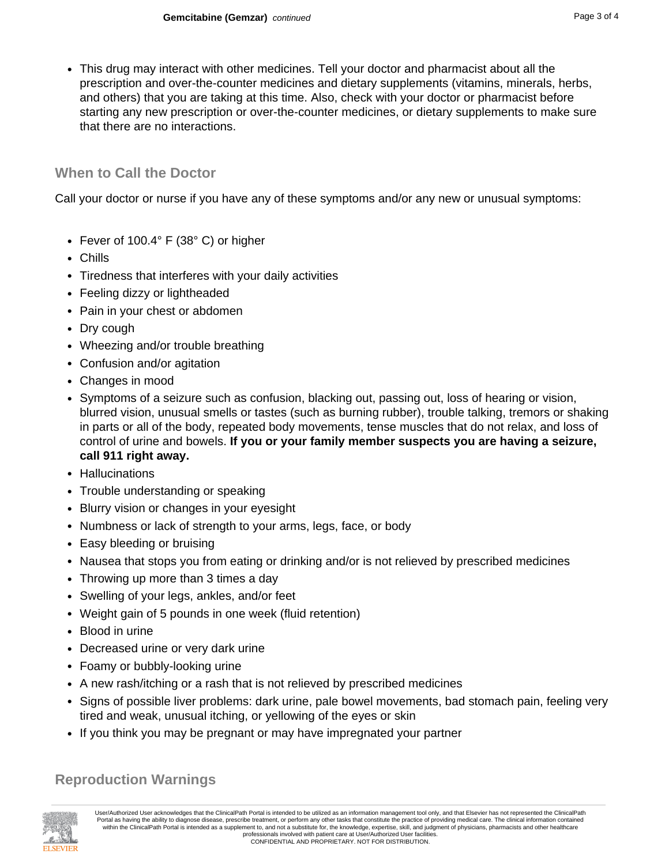• This drug may interact with other medicines. Tell your doctor and pharmacist about all the prescription and over-the-counter medicines and dietary supplements (vitamins, minerals, herbs, and others) that you are taking at this time. Also, check with your doctor or pharmacist before starting any new prescription or over-the-counter medicines, or dietary supplements to make sure that there are no interactions.

### **When to Call the Doctor**

Call your doctor or nurse if you have any of these symptoms and/or any new or unusual symptoms:

- Fever of 100.4° F (38° C) or higher
- Chills
- Tiredness that interferes with your daily activities
- Feeling dizzy or lightheaded
- Pain in your chest or abdomen
- Dry cough
- Wheezing and/or trouble breathing
- Confusion and/or agitation
- Changes in mood
- Symptoms of a seizure such as confusion, blacking out, passing out, loss of hearing or vision, blurred vision, unusual smells or tastes (such as burning rubber), trouble talking, tremors or shaking in parts or all of the body, repeated body movements, tense muscles that do not relax, and loss of control of urine and bowels. **If you or your family member suspects you are having a seizure, call 911 right away.**
- Hallucinations
- Trouble understanding or speaking
- Blurry vision or changes in your eyesight
- Numbness or lack of strength to your arms, legs, face, or body
- Easy bleeding or bruising
- Nausea that stops you from eating or drinking and/or is not relieved by prescribed medicines
- Throwing up more than 3 times a day
- Swelling of your legs, ankles, and/or feet
- Weight gain of 5 pounds in one week (fluid retention)
- Blood in urine
- Decreased urine or very dark urine
- Foamy or bubbly-looking urine
- A new rash/itching or a rash that is not relieved by prescribed medicines
- Signs of possible liver problems: dark urine, pale bowel movements, bad stomach pain, feeling very tired and weak, unusual itching, or yellowing of the eyes or skin
- If you think you may be pregnant or may have impregnated your partner

## **Reproduction Warnings**



User/Authorized User acknowledges that the ClinicalPath Portal is intended to be utilized as an information management tool only, and that Elsevier has not represented the ClinicalPath Portal as having the ability to diagnose disease, prescribe treatment, or perform any other tasks that constitute the practice of providing medical care. The clinical information contained within the ClinicalPath Portal is intended as a supplement to, and not a substitute for, the knowledge, expertise, skill, and judgment of physicians, pharmacists and other healthcare professionals involved with patient care at User/Authorized User facilities. CONFIDENTIAL AND PROPRIETARY. NOT FOR DISTRIBUTION.